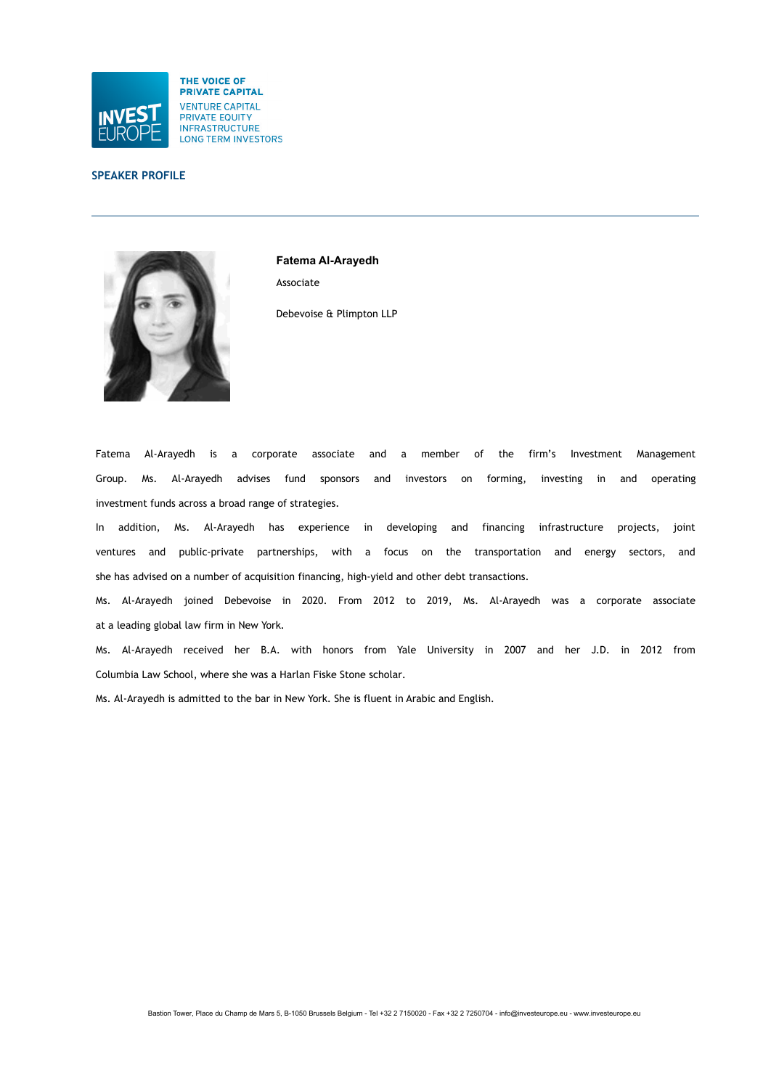

# **SPEAKER PROFILE**



**Fatema Al-Arayedh** Associate Debevoise & Plimpton LLP

Fatema Al-Arayedh is a corporate associate and a member of the firm's Investment Management Group. Ms. Al-Arayedh advises fund sponsors and investors on forming, investing in and operating investment funds across a broad range of strategies.

In addition, Ms. Al-Arayedh has experience in developing and financing infrastructure projects, joint ventures and public-private partnerships, with a focus on the transportation and energy sectors, and she has advised on a number of acquisition financing, high-yield and other debt transactions.

Ms. Al-Arayedh joined Debevoise in 2020. From 2012 to 2019, Ms. Al-Arayedh was a corporate associate at a leading global law firm in New York.

Ms. Al-Arayedh received her B.A. with honors from Yale University in 2007 and her J.D. in 2012 from Columbia Law School, where she was a Harlan Fiske Stone scholar.

Ms. Al-Arayedh is admitted to the bar in New York. She is fluent in Arabic and English.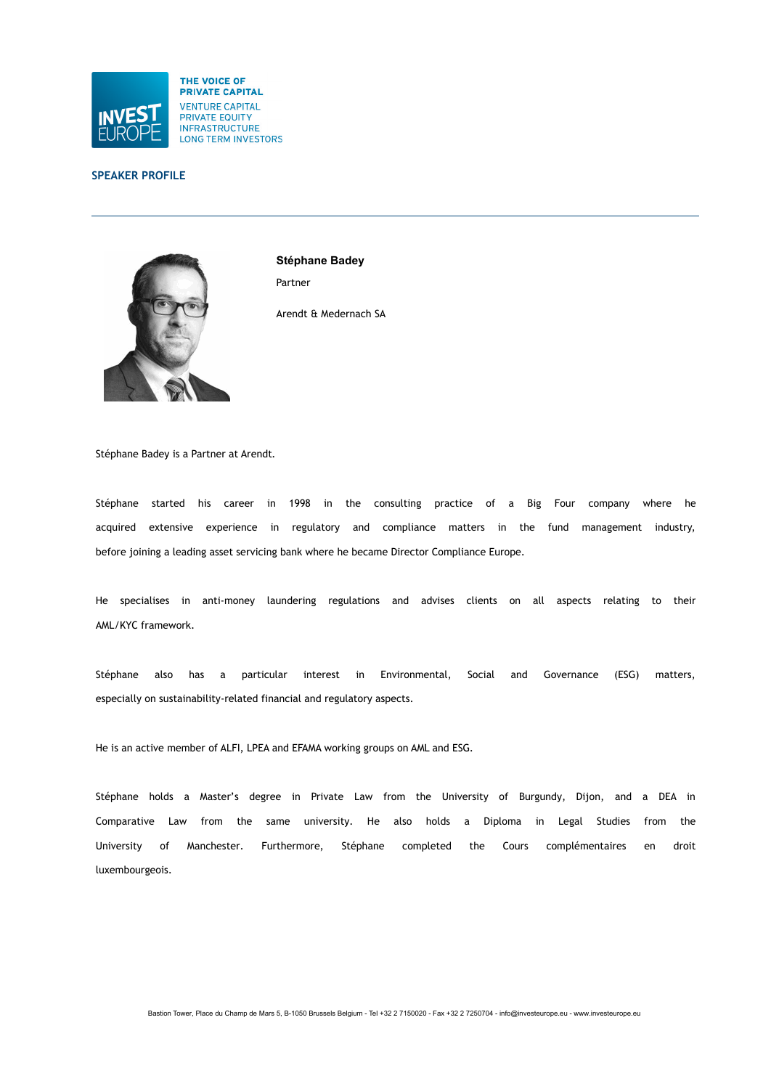

# **SPEAKER PROFILE**



**Stéphane Badey** Partner

Arendt & Medernach SA

Stéphane Badey is a Partner at Arendt.

Stéphane started his career in 1998 in the consulting practice of a Big Four company where he acquired extensive experience in regulatory and compliance matters in the fund management industry, before joining a leading asset servicing bank where he became Director Compliance Europe.

He specialises in anti-money laundering regulations and advises clients on all aspects relating to their AML/KYC framework.

Stéphane also has a particular interest in Environmental, Social and Governance (ESG) matters, especially on sustainability-related financial and regulatory aspects.

He is an active member of ALFI, LPEA and EFAMA working groups on AML and ESG.

Stéphane holds a Master's degree in Private Law from the University of Burgundy, Dijon, and a DEA in Comparative Law from the same university. He also holds a Diploma in Legal Studies from the University of Manchester. Furthermore, Stéphane completed the Cours complémentaires en droit luxembourgeois.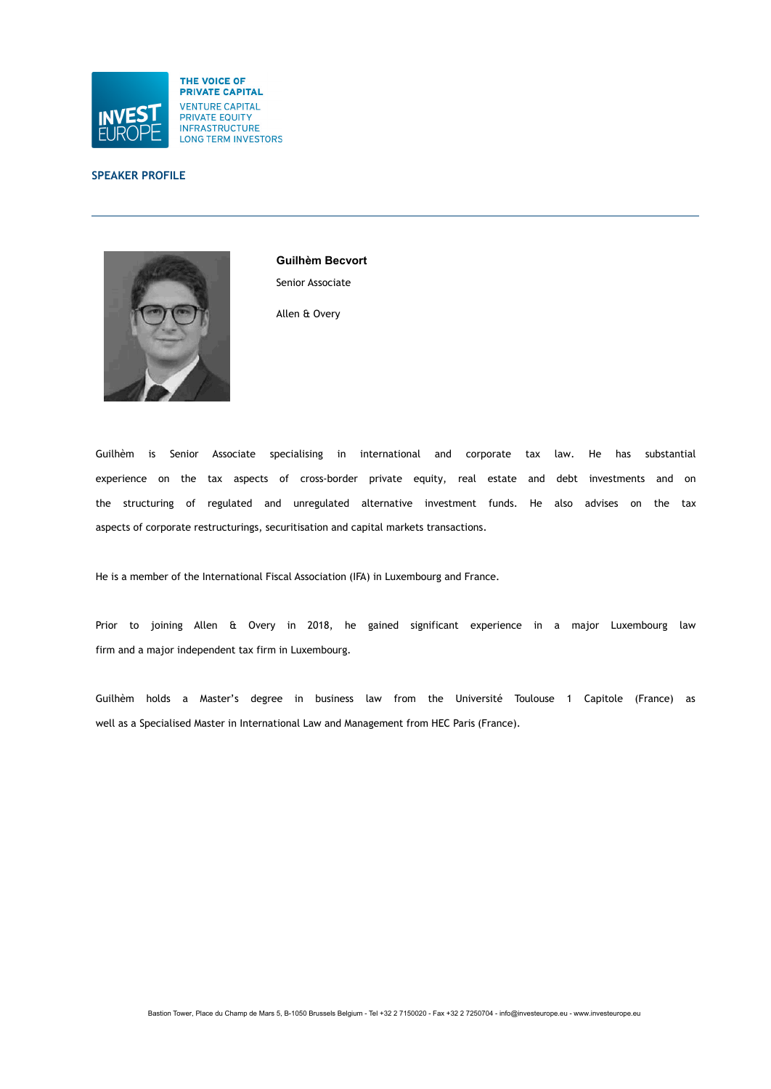

# **SPEAKER PROFILE**



**Guilhèm Becvort** Senior Associate

Allen & Overy

Guilhèm is Senior Associate specialising in international and corporate tax law. He has substantial experience on the tax aspects of cross-border private equity, real estate and debt investments and on the structuring of regulated and unregulated alternative investment funds. He also advises on the tax aspects of corporate restructurings, securitisation and capital markets transactions.

He is a member of the International Fiscal Association (IFA) in Luxembourg and France.

Prior to joining Allen & Overy in 2018, he gained significant experience in a major Luxembourg law firm and a major independent tax firm in Luxembourg.

Guilhèm holds a Master's degree in business law from the Université Toulouse 1 Capitole (France) as well as a Specialised Master in International Law and Management from HEC Paris (France).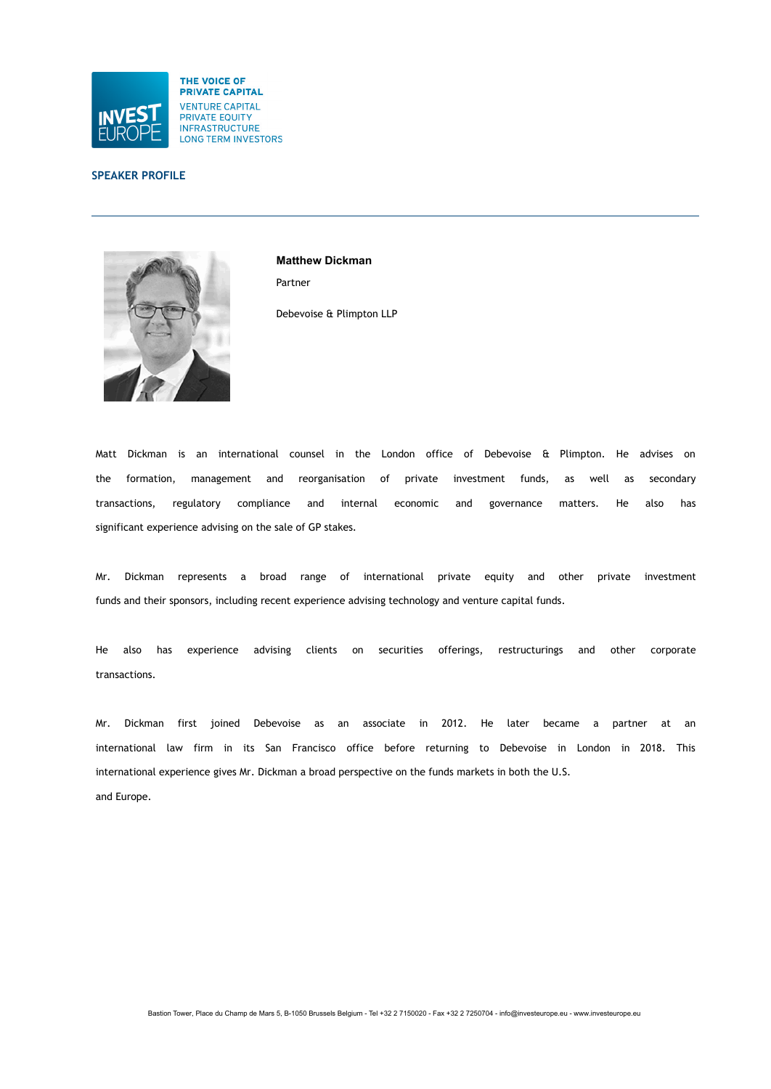

# **SPEAKER PROFILE**



**Matthew Dickman** Partner Debevoise & Plimpton LLP

Matt Dickman is an international counsel in the London office of Debevoise & Plimpton. He advises on the formation, management and reorganisation of private investment funds, as well as secondary transactions, regulatory compliance and internal economic and governance matters. He also has significant experience advising on the sale of GP stakes.

Mr. Dickman represents a broad range of international private equity and other private investment funds and their sponsors, including recent experience advising technology and venture capital funds.

He also has experience advising clients on securities offerings, restructurings and other corporate transactions.

Mr. Dickman first joined Debevoise as an associate in 2012. He later became a partner at an international law firm in its San Francisco office before returning to Debevoise in London in 2018. This international experience gives Mr. Dickman a broad perspective on the funds markets in both the U.S. and Europe.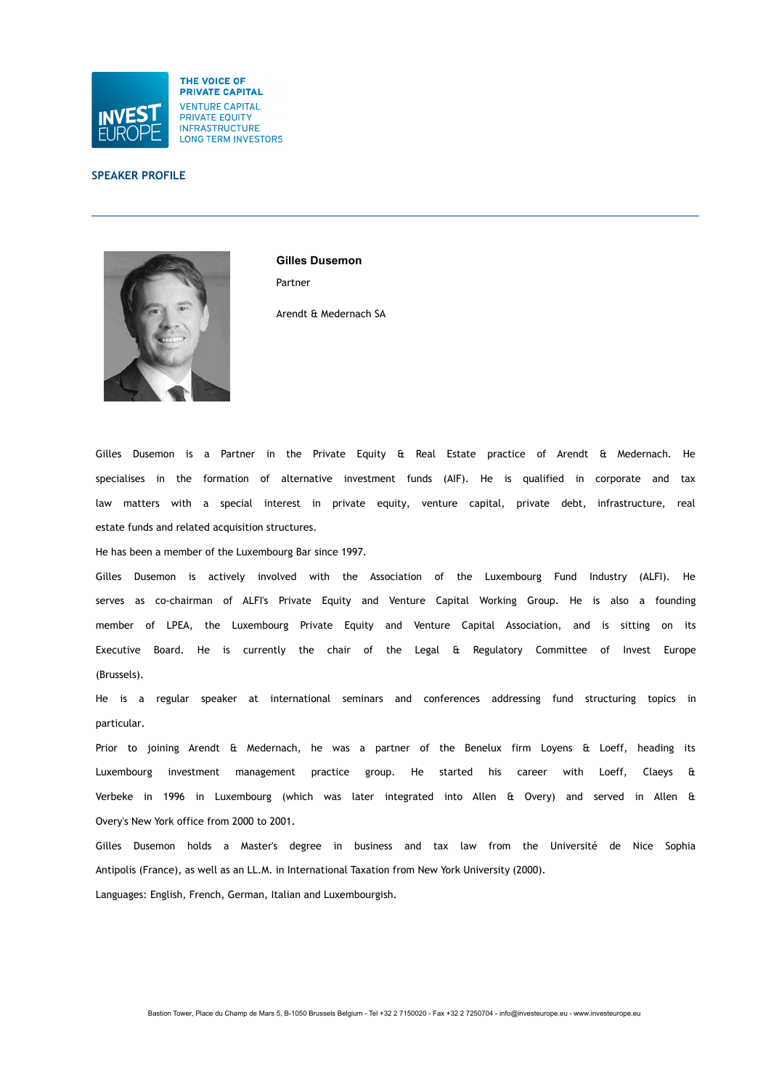

### **SPEAKER PROFILE**



**Gilles Dusemon** Partner

Arendt & Medernach SA

Gilles Dusemon is a Partner in the Private Equity & Real Estate practice of Arendt & Medernach. He specialises in the formation of alternative investment funds (AIF). He is qualified in corporate and tax law matters with a special interest in private equity, venture capital, private debt, infrastructure, real estate funds and related acquisition structures.

He has been a member of the Luxembourg Bar since 1997.

Gilles Dusemon is actively involved with the Association of the Luxembourg Fund Industry (ALFI). He serves as co-chairman of ALFI's Private Equity and Venture Capital Working Group. He is also a founding member of LPEA, the Luxembourg Private Equity and Venture Capital Association, and is sitting on its Executive Board. He is currently the chair of the Legal & Regulatory Committee of Invest Europe (Brussels).

He is a regular speaker at international seminars and conferences addressing fund structuring topics in particular.

Prior to joining Arendt & Medernach, he was a partner of the Benelux firm Loyens & Loeff, heading its Luxembourg investment management practice group. He started his career with Loeff, Claeys & Verbeke in 1996 in Luxembourg (which was later integrated into Allen & Overy) and served in Allen & Overy's New York office from 2000 to 2001.

Gilles Dusemon holds a Master's degree in business and tax law from the Université de Nice Sophia Antipolis (France), as well as an LL.M. in International Taxation from New York University (2000).

Languages: English, French, German, Italian and Luxembourgish.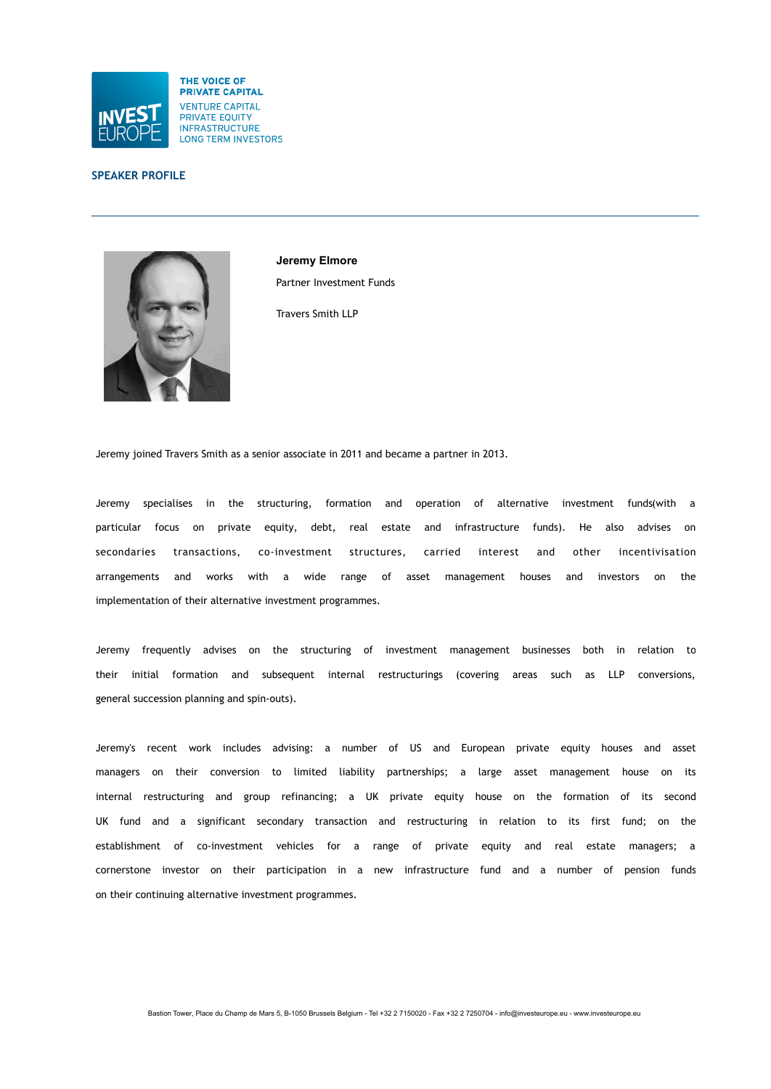

### **SPEAKER PROFILE**



**Jeremy Elmore** Partner Investment Funds

Travers Smith LLP

Jeremy joined Travers Smith as a senior associate in 2011 and became a partner in 2013.

Jeremy specialises in the structuring, formation and operation of alternative investment funds(with a particular focus on private equity, debt, real estate and infrastructure funds). He also advises on secondaries transactions, co-investment structures, carried interest and other incentivisation arrangements and works with a wide range of asset management houses and investors on the implementation of their alternative investment programmes.

Jeremy frequently advises on the structuring of investment management businesses both in relation to their initial formation and subsequent internal restructurings (covering areas such as LLP conversions, general succession planning and spin-outs).

Jeremy's recent work includes advising: a number of US and European private equity houses and asset managers on their conversion to limited liability partnerships; a large asset management house on its internal restructuring and group refinancing; a UK private equity house on the formation of its second UK fund and a significant secondary transaction and restructuring in relation to its first fund; on the establishment of co-investment vehicles for a range of private equity and real estate managers; a cornerstone investor on their participation in a new infrastructure fund and a number of pension funds on their continuing alternative investment programmes.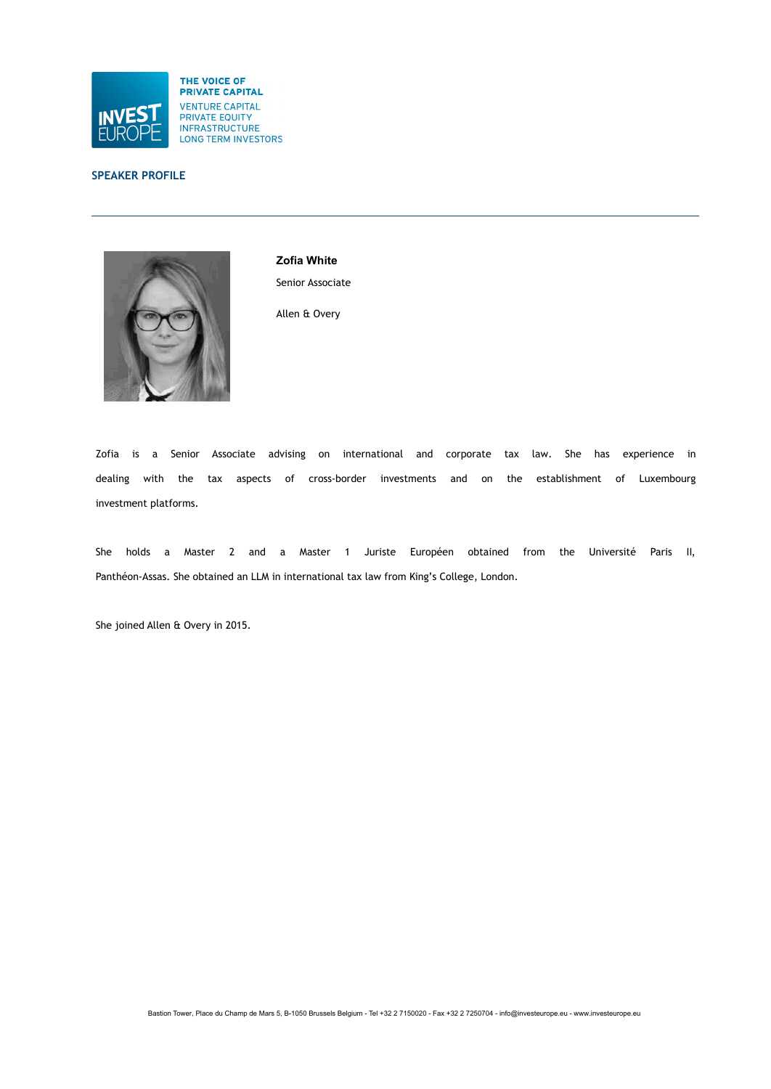

# **SPEAKER PROFILE**



**Zofia White** Senior Associate

Allen & Overy

Zofia is a Senior Associate advising on international and corporate tax law. She has experience in dealing with the tax aspects of cross-border investments and on the establishment of Luxembourg investment platforms.

She holds a Master 2 and a Master 1 Juriste Européen obtained from the Université Paris II, Panthéon-Assas. She obtained an LLM in international tax law from King's College, London.

She joined Allen & Overy in 2015.